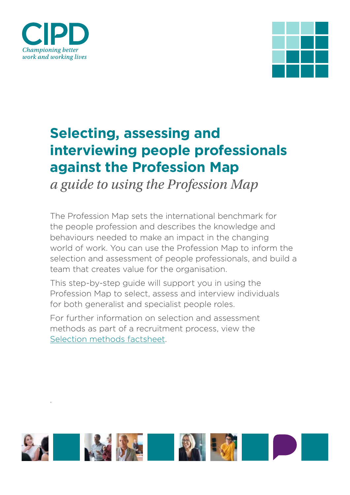

.



# **Selecting, assessing and interviewing people professionals against the Profession Map**

*a guide to using the Profession Map*

The Profession Map sets the international benchmark for the people profession and describes the knowledge and behaviours needed to make an impact in the changing world of work. You can use the Profession Map to inform the selection and assessment of people professionals, and build a team that creates value for the organisation.

This step-by-step guide will support you in using the Profession Map to select, assess and interview individuals for both generalist and specialist people roles.

For further information on selection and assessment methods as part of a recruitment process, view the [Selection methods factsheet.](https://www.cipd.co.uk/knowledge/fundamentals/people/recruitment/selection-factsheet)

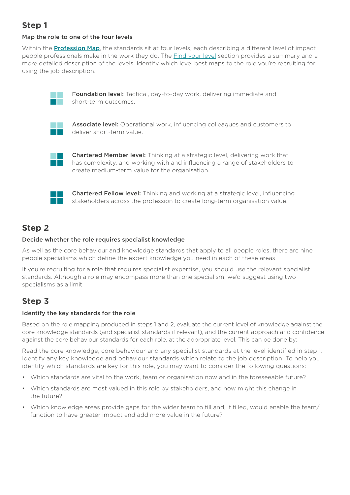# **Step 1**

## Map the role to one of the four levels

Within the **Pro[fession Map](https://peopleprofession.cipd.org/profession-map)**, the standards sit at four levels, each describing a different level of impact people professionals make in the work they do. The [Find your level](https://peopleprofession.cipd.org/find-your-level) section provides a summary and a more detailed description of the levels. Identify which level best maps to the role you're recruiting for using the job description.



Foundation level: Tactical, day-to-day work, delivering immediate and short-term outcomes.



Associate level: Operational work, influencing colleagues and customers to deliver short-term value.



Chartered Member level: Thinking at a strategic level, delivering work that has complexity, and working with and influencing a range of stakeholders to create medium-term value for the organisation.



Chartered Fellow level: Thinking and working at a strategic level, influencing stakeholders across the profession to create long-term organisation value.

## **Step 2**

#### Decide whether the role requires specialist knowledge

As well as the core behaviour and knowledge standards that apply to all people roles, there are nine people specialisms which define the expert knowledge you need in each of these areas.

If you're recruiting for a role that requires specialist expertise, you should use the relevant specialist standards. Although a role may encompass more than one specialism, we'd suggest using two specialisms as a limit.

# **Step 3**

## Identify the key standards for the role

Based on the role mapping produced in steps 1 and 2, evaluate the current level of knowledge against the core knowledge standards (and specialist standards if relevant), and the current approach and confidence against the core behaviour standards for each role, at the appropriate level. This can be done by:

Read the core knowledge, core behaviour and any specialist standards at the level identified in step 1. Identify any key knowledge and behaviour standards which relate to the job description. To help you identify which standards are key for this role, you may want to consider the following questions:

- Which standards are vital to the work, team or organisation now and in the foreseeable future?
- Which standards are most valued in this role by stakeholders, and how might this change in the future?
- Which knowledge areas provide gaps for the wider team to fill and, if filled, would enable the team/ function to have greater impact and add more value in the future?